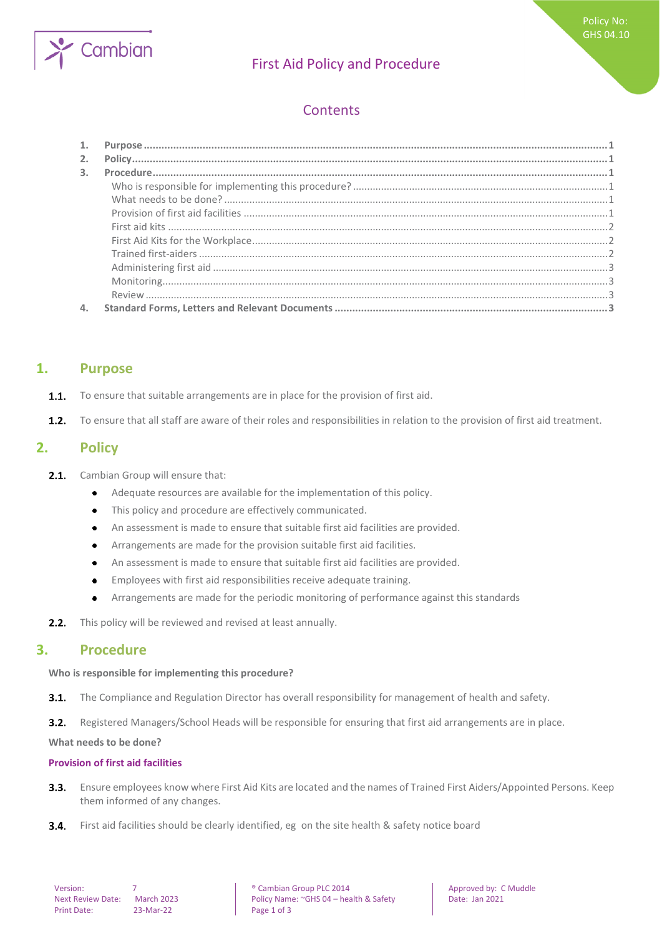

# First Aid Policy and Procedure

## **Contents**

| 2.             |  |
|----------------|--|
| $\mathbf{3}$ . |  |
|                |  |
|                |  |
|                |  |
|                |  |
|                |  |
|                |  |
|                |  |
|                |  |
|                |  |
|                |  |

## <span id="page-0-0"></span>**1. Purpose**

- To ensure that suitable arrangements are in place for the provision of first aid.  $1.1.$
- <span id="page-0-1"></span> $1.2.$ To ensure that all staff are aware of their roles and responsibilities in relation to the provision of first aid treatment.

## **2. Policy**

- $2.1.$ Cambian Group will ensure that:
	- Adequate resources are available for the implementation of this policy.  $\bullet$
	- This policy and procedure are effectively communicated.  $\bullet$
	- An assessment is made to ensure that suitable first aid facilities are provided.  $\bullet$
	- Arrangements are made for the provision suitable first aid facilities.  $\bullet$
	- An assessment is made to ensure that suitable first aid facilities are provided.
	- Employees with first aid responsibilities receive adequate training.  $\bullet$
	- Arrangements are made for the periodic monitoring of performance against this standards  $\bullet$
- <span id="page-0-2"></span>This policy will be reviewed and revised at least annually.  $2.2.$

### **3. Procedure**

#### <span id="page-0-3"></span>**Who is responsible for implementing this procedure?**

 $3.1.$ The Compliance and Regulation Director has overall responsibility for management of health and safety.

 $3.2.$ Registered Managers/School Heads will be responsible for ensuring that first aid arrangements are in place.

<span id="page-0-4"></span>**What needs to be done?**

#### <span id="page-0-5"></span>**Provision of first aid facilities**

- Ensure employees know where First Aid Kits are located and the names of Trained First Aiders/Appointed Persons. Keep  $3.3.$ them informed of any changes.
- $3.4.$ First aid facilities should be clearly identified, eg on the site health & safety notice board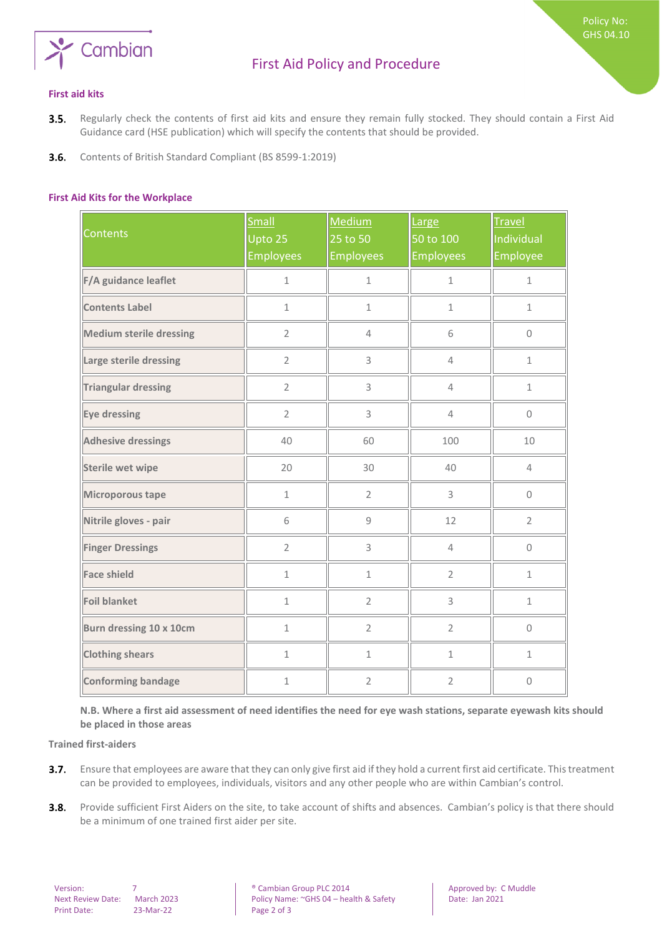

Policy No: GHS 04.10

- <span id="page-1-0"></span>Regularly check the contents of first aid kits and ensure they remain fully stocked. They should contain a First Aid  $3.5.$ Guidance card (HSE publication) which will specify the contents that should be provided.
- <span id="page-1-1"></span> $3.6.$ Contents of British Standard Compliant (BS 8599-1:2019)

#### **First Aid Kits for the Workplace**

| <b>Contents</b>                | <b>Small</b><br>Upto 25<br><b>Employees</b> | Medium<br>25 to 50<br><b>Employees</b> | Large<br>50 to 100<br><b>Employees</b> | <b>Travel</b><br>Individual<br>Employee |
|--------------------------------|---------------------------------------------|----------------------------------------|----------------------------------------|-----------------------------------------|
| F/A guidance leaflet           | $\mathbf 1$                                 | $\mathbf 1$                            | $\mathbf{1}$                           | $\mathbf{1}$                            |
| <b>Contents Label</b>          | $\mathbf{1}$                                | $\mathbf{1}$                           | $\mathbf 1$                            | $\mathbf{1}$                            |
| <b>Medium sterile dressing</b> | $\overline{2}$                              | $\overline{4}$                         | 6                                      | $\Omega$                                |
| Large sterile dressing         | $\overline{2}$                              | 3                                      | $\overline{4}$                         | $\mathbf{1}$                            |
| <b>Triangular dressing</b>     | $\overline{2}$                              | 3                                      | $\overline{4}$                         | $\mathbf 1$                             |
| Eye dressing                   | $\overline{2}$                              | 3                                      | $\overline{4}$                         | $\mathsf{O}\xspace$                     |
| <b>Adhesive dressings</b>      | 40                                          | 60                                     | 100                                    | 10                                      |
| <b>Sterile wet wipe</b>        | 20                                          | 30                                     | 40                                     | $\overline{4}$                          |
| Microporous tape               | $\mathbf{1}$                                | $\overline{2}$                         | 3                                      | 0                                       |
| Nitrile gloves - pair          | 6                                           | 9                                      | 12                                     | $\overline{2}$                          |
| <b>Finger Dressings</b>        | $\overline{2}$                              | 3                                      | $\overline{4}$                         | $\mathbf 0$                             |
| <b>Face shield</b>             | $\mathbf{1}$                                | $\mathbf 1$                            | $\overline{2}$                         | $\mathbf{1}$                            |
| <b>Foil blanket</b>            | $\mathbf 1$                                 | $\overline{2}$                         | 3                                      | $\mathbf 1$                             |
| Burn dressing 10 x 10cm        | $\mathbf 1$                                 | $\overline{2}$                         | $\overline{2}$                         | $\mathsf{O}\xspace$                     |
| <b>Clothing shears</b>         | $\mathbf{1}$                                | $\mathbf{1}$                           | $\mathbf{1}$                           | $\mathbf{1}$                            |
| <b>Conforming bandage</b>      | $\mathbf 1$                                 | $\overline{2}$                         | $\overline{2}$                         | $\mathbf 0$                             |

<span id="page-1-2"></span>**N.B. Where a first aid assessment of need identifies the need for eye wash stations, separate eyewash kits should be placed in those areas** 

**Trained first-aiders**

- Ensure that employees are aware that they can only give first aid if they hold a current first aid certificate. This treatment  $3.7.$ can be provided to employees, individuals, visitors and any other people who are within Cambian's control.
- $3.8.$ Provide sufficient First Aiders on the site, to take account of shifts and absences. Cambian's policy is that there should be a minimum of one trained first aider per site.